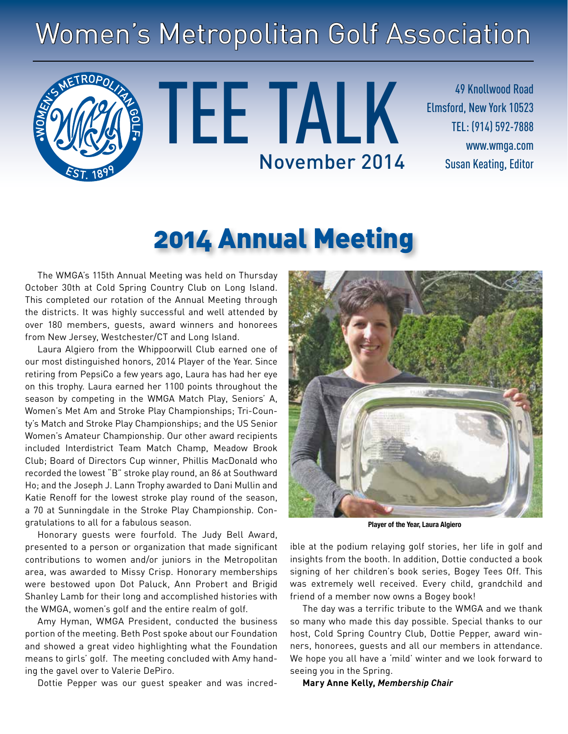# Women's Metropolitan Golf Association



TEE TALK November 2014 Susan Keating, Editor

49 Knollwood Road Elmsford, New York 10523 TEL: (914) 592-7888 www.wmga.com

# 2014 Annual Meeting

The WMGA's 115th Annual Meeting was held on Thursday October 30th at Cold Spring Country Club on Long Island. This completed our rotation of the Annual Meeting through the districts. It was highly successful and well attended by over 180 members, guests, award winners and honorees from New Jersey, Westchester/CT and Long Island.

Laura Algiero from the Whippoorwill Club earned one of our most distinguished honors, 2014 Player of the Year. Since retiring from PepsiCo a few years ago, Laura has had her eye on this trophy. Laura earned her 1100 points throughout the season by competing in the WMGA Match Play, Seniors' A, Women's Met Am and Stroke Play Championships; Tri-County's Match and Stroke Play Championships; and the US Senior Women's Amateur Championship. Our other award recipients included Interdistrict Team Match Champ, Meadow Brook Club; Board of Directors Cup winner, Phillis MacDonald who recorded the lowest "B" stroke play round, an 86 at Southward Ho; and the Joseph J. Lann Trophy awarded to Dani Mullin and Katie Renoff for the lowest stroke play round of the season, a 70 at Sunningdale in the Stroke Play Championship. Congratulations to all for a fabulous season.

Honorary guests were fourfold. The Judy Bell Award, presented to a person or organization that made significant contributions to women and/or juniors in the Metropolitan area, was awarded to Missy Crisp. Honorary memberships were bestowed upon Dot Paluck, Ann Probert and Brigid Shanley Lamb for their long and accomplished histories with the WMGA, women's golf and the entire realm of golf.

Amy Hyman, WMGA President, conducted the business portion of the meeting. Beth Post spoke about our Foundation and showed a great video highlighting what the Foundation means to girls' golf. The meeting concluded with Amy handing the gavel over to Valerie DePiro.

Dottie Pepper was our guest speaker and was incred-



**Player of the Year, Laura Algiero**

ible at the podium relaying golf stories, her life in golf and insights from the booth. In addition, Dottie conducted a book signing of her children's book series, Bogey Tees Off. This was extremely well received. Every child, grandchild and friend of a member now owns a Bogey book!

The day was a terrific tribute to the WMGA and we thank so many who made this day possible. Special thanks to our host, Cold Spring Country Club, Dottie Pepper, award winners, honorees, guests and all our members in attendance. We hope you all have a 'mild' winter and we look forward to seeing you in the Spring.

**Mary Anne Kelly,** *Membership Chair*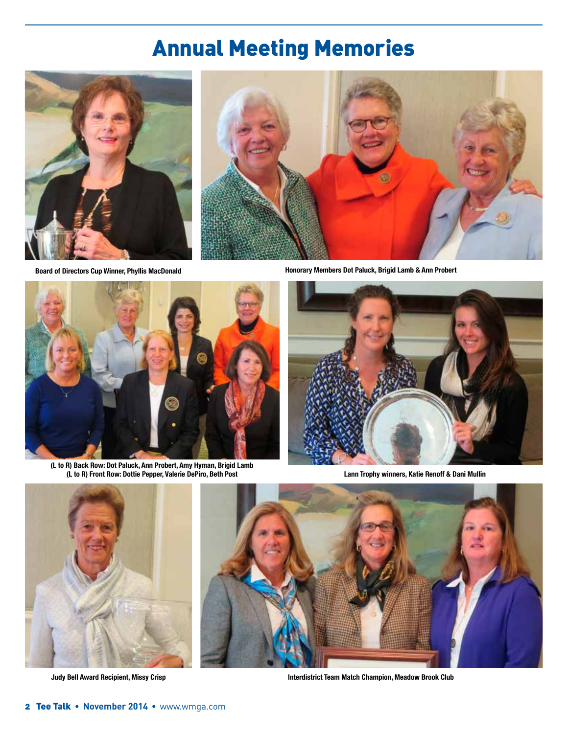# Annual Meeting Memories







**(L to R) Back Row: Dot Paluck, Ann Probert, Amy Hyman, Brigid Lamb (L to R) Front Row: Dottie Pepper, Valerie DePiro, Beth Post**

**Board of Directors Cup Winner, Phyllis MacDonald Honorary Members Dot Paluck, Brigid Lamb & Ann Probert**



**Lann Trophy winners, Katie Renoff & Dani Mullin**



**Judy Bell Award Recipient, Missy Crisp**



**Interdistrict Team Match Champion, Meadow Brook Club**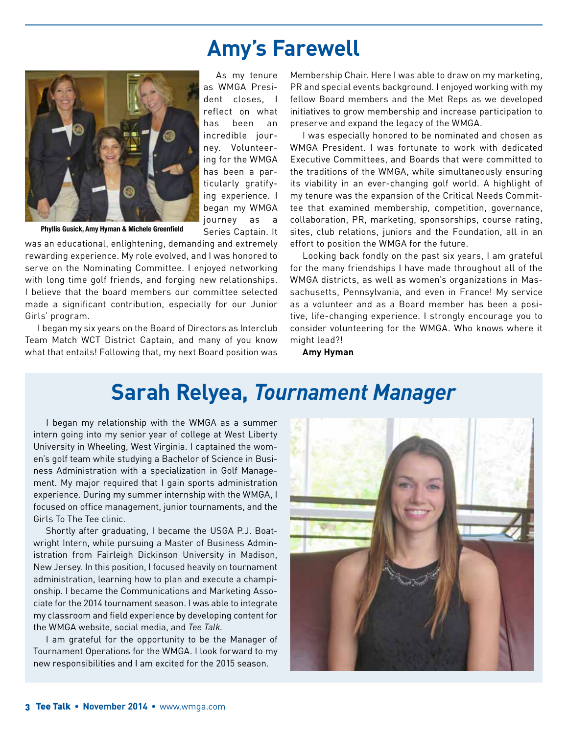### **Amy's Farewell**



As my tenure as WMGA President closes, I reflect on what has been an incredible journey. Volunteering for the WMGA has been a particularly gratifying experience. I began my WMGA journey as a Series Captain. It

**Phyllis Gusick, Amy Hyman & Michele Greenfield**

was an educational, enlightening, demanding and extremely rewarding experience. My role evolved, and I was honored to serve on the Nominating Committee. I enjoyed networking with long time golf friends, and forging new relationships. I believe that the board members our committee selected made a significant contribution, especially for our Junior Girls' program.

I began my six years on the Board of Directors as Interclub Team Match WCT District Captain, and many of you know what that entails! Following that, my next Board position was Membership Chair. Here I was able to draw on my marketing, PR and special events background. I enjoyed working with my fellow Board members and the Met Reps as we developed initiatives to grow membership and increase participation to preserve and expand the legacy of the WMGA.

I was especially honored to be nominated and chosen as WMGA President. I was fortunate to work with dedicated Executive Committees, and Boards that were committed to the traditions of the WMGA, while simultaneously ensuring its viability in an ever-changing golf world. A highlight of my tenure was the expansion of the Critical Needs Committee that examined membership, competition, governance, collaboration, PR, marketing, sponsorships, course rating, sites, club relations, juniors and the Foundation, all in an effort to position the WMGA for the future.

Looking back fondly on the past six years, I am grateful for the many friendships I have made throughout all of the WMGA districts, as well as women's organizations in Massachusetts, Pennsylvania, and even in France! My service as a volunteer and as a Board member has been a positive, life-changing experience. I strongly encourage you to consider volunteering for the WMGA. Who knows where it might lead?!

**Amy Hyman**

### **Sarah Relyea,** *Tournament Manager*

I began my relationship with the WMGA as a summer intern going into my senior year of college at West Liberty University in Wheeling, West Virginia. I captained the women's golf team while studying a Bachelor of Science in Business Administration with a specialization in Golf Management. My major required that I gain sports administration experience. During my summer internship with the WMGA, I focused on office management, junior tournaments, and the Girls To The Tee clinic.

Shortly after graduating, I became the USGA P.J. Boatwright Intern, while pursuing a Master of Business Administration from Fairleigh Dickinson University in Madison, New Jersey. In this position, I focused heavily on tournament administration, learning how to plan and execute a championship. I became the Communications and Marketing Associate for the 2014 tournament season. I was able to integrate my classroom and field experience by developing content for the WMGA website, social media, and *Tee Talk.*

I am grateful for the opportunity to be the Manager of Tournament Operations for the WMGA. I look forward to my new responsibilities and I am excited for the 2015 season.

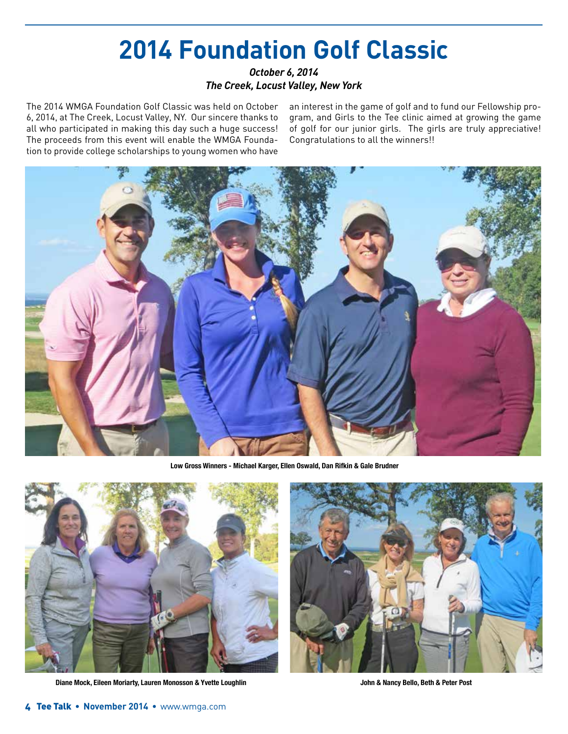# **2014 Foundation Golf Classic**

#### *October 6, 2014 The Creek, Locust Valley, New York*

The 2014 WMGA Foundation Golf Classic was held on October 6, 2014, at The Creek, Locust Valley, NY. Our sincere thanks to all who participated in making this day such a huge success! The proceeds from this event will enable the WMGA Foundation to provide college scholarships to young women who have

an interest in the game of golf and to fund our Fellowship program, and Girls to the Tee clinic aimed at growing the game of golf for our junior girls. The girls are truly appreciative! Congratulations to all the winners!!



**Low Gross Winners - Michael Karger, Ellen Oswald, Dan Rifkin & Gale Brudner**



**Diane Mock, Eileen Moriarty, Lauren Monosson & Yvette Loughlin John & Nancy Bello, Beth & Peter Post**

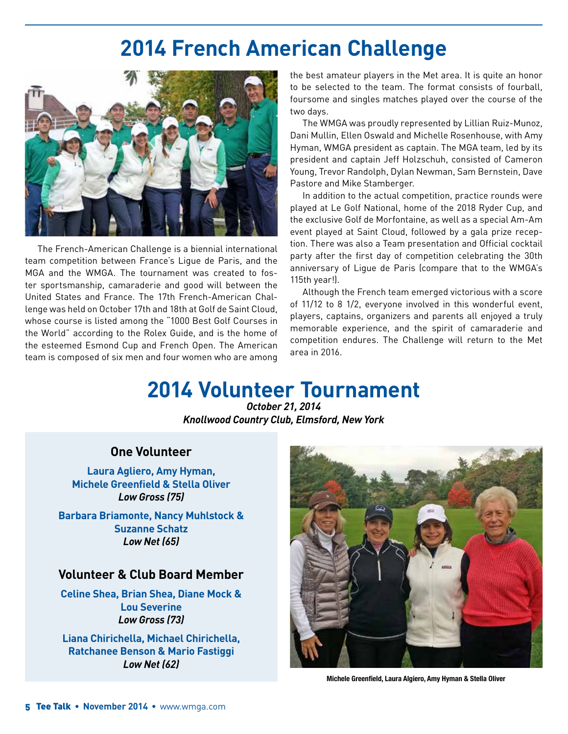## **2014 French American Challenge**



The French-American Challenge is a biennial international team competition between France's Ligue de Paris, and the MGA and the WMGA. The tournament was created to foster sportsmanship, camaraderie and good will between the United States and France. The 17th French-American Challenge was held on October 17th and 18th at Golf de Saint Cloud, whose course is listed among the "1000 Best Golf Courses in the World" according to the Rolex Guide, and is the home of the esteemed Esmond Cup and French Open. The American team is composed of six men and four women who are among

the best amateur players in the Met area. It is quite an honor to be selected to the team. The format consists of fourball, foursome and singles matches played over the course of the two days.

The WMGA was proudly represented by Lillian Ruiz-Munoz, Dani Mullin, Ellen Oswald and Michelle Rosenhouse, with Amy Hyman, WMGA president as captain. The MGA team, led by its president and captain Jeff Holzschuh, consisted of Cameron Young, Trevor Randolph, Dylan Newman, Sam Bernstein, Dave Pastore and Mike Stamberger.

In addition to the actual competition, practice rounds were played at Le Golf National, home of the 2018 Ryder Cup, and the exclusive Golf de Morfontaine, as well as a special Am-Am event played at Saint Cloud, followed by a gala prize reception. There was also a Team presentation and Official cocktail party after the first day of competition celebrating the 30th anniversary of Ligue de Paris (compare that to the WMGA's 115th year!).

Although the French team emerged victorious with a score of 11/12 to 8 1/2, everyone involved in this wonderful event, players, captains, organizers and parents all enjoyed a truly memorable experience, and the spirit of camaraderie and competition endures. The Challenge will return to the Met area in 2016.

## **2014 Volunteer Tournament**

*October 21, 2014 Knollwood Country Club, Elmsford, New York*

#### **One Volunteer**

**Laura Agliero, Amy Hyman, Michele Greenfield & Stella Oliver** *Low Gross (75)*

**Barbara Briamonte, Nancy Muhlstock & Suzanne Schatz** *Low Net (65)*

#### **Volunteer & Club Board Member**

**Celine Shea, Brian Shea, Diane Mock & Lou Severine** *Low Gross (73)*

**Liana Chirichella, Michael Chirichella, Ratchanee Benson & Mario Fastiggi** *Low Net (62)*



**Michele Greenfield, Laura Algiero, Amy Hyman & Stella Oliver**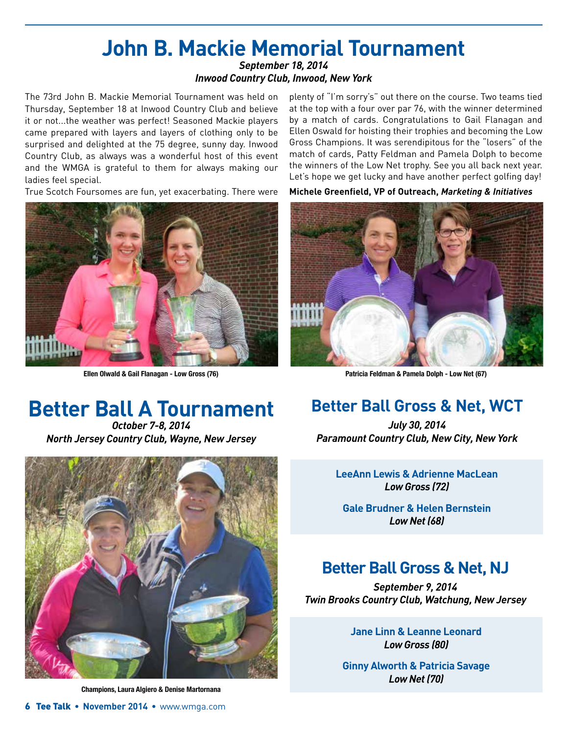#### **John B. Mackie Memorial Tournament** *September 18, 2014*

#### *Inwood Country Club, Inwood, New York*

The 73rd John B. Mackie Memorial Tournament was held on Thursday, September 18 at Inwood Country Club and believe it or not...the weather was perfect! Seasoned Mackie players came prepared with layers and layers of clothing only to be surprised and delighted at the 75 degree, sunny day. Inwood Country Club, as always was a wonderful host of this event and the WMGA is grateful to them for always making our ladies feel special.

True Scotch Foursomes are fun, yet exacerbating. There were



plenty of "I'm sorry's" out there on the course. Two teams tied at the top with a four over par 76, with the winner determined by a match of cards. Congratulations to Gail Flanagan and Ellen Oswald for hoisting their trophies and becoming the Low Gross Champions. It was serendipitous for the "losers" of the match of cards, Patty Feldman and Pamela Dolph to become the winners of the Low Net trophy. See you all back next year. Let's hope we get lucky and have another perfect golfing day!

**Michele Greenfield, VP of Outreach,** *Marketing & Initiatives*



**Ellen Olwald & Gail Flanagan - Low Gross (76) Patricia Feldman & Pamela Dolph - Low Net (67)**

# **Better Ball A Tournament**

*October 7-8, 2014 North Jersey Country Club, Wayne, New Jersey*



**Champions, Laura Algiero & Denise Martornana**

### **Better Ball Gross & Net, WCT**

*July 30, 2014 Paramount Country Club, New City, New York*

**LeeAnn Lewis & Adrienne MacLean** *Low Gross (72)*

**Gale Brudner & Helen Bernstein**  *Low Net (68)*

### **Better Ball Gross & Net, NJ**

*September 9, 2014 Twin Brooks Country Club, Watchung, New Jersey*

> **Jane Linn & Leanne Leonard** *Low Gross (80)*

**Ginny Alworth & Patricia Savage**  *Low Net (70)*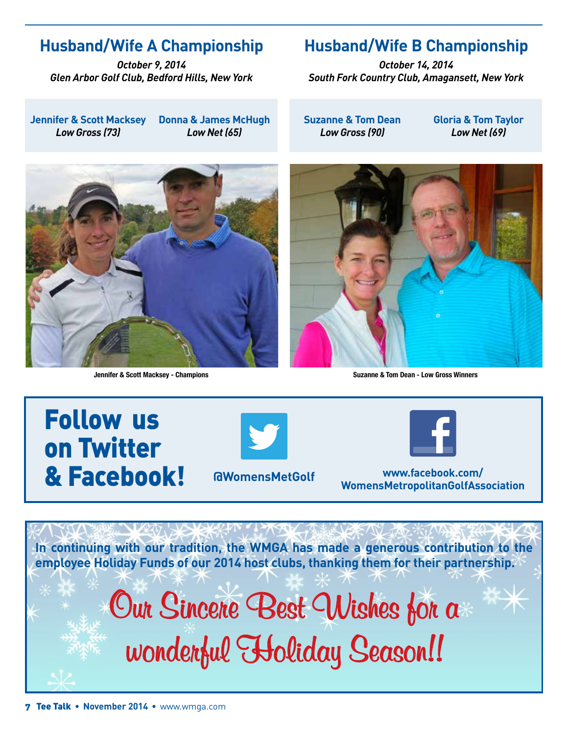### **Husband/Wife A Championship**

*October 9, 2014 Glen Arbor Golf Club, Bedford Hills, New York*

**Jennifer & Scott Macksey** *Low Gross (73)* **Donna & James McHugh**  *Low Net (65)*

### **Husband/Wife B Championship**

*October 14, 2014 South Fork Country Club, Amagansett, New York*

**Suzanne & Tom Dean** *Low Gross (90)*

**Gloria & Tom Taylor**  *Low Net (69)*





**Jennifer & Scott Macksey - Champions Suzanne & Tom Dean - Low Gross Winners**

# Follow us on Twitter & Facebook! **www.facebook.com/**





**WomensMetropolitanGolfAssociation** 

**In continuing with our tradition, the WMGA has made a generous contribution to the employee Holiday Funds of our 2014 host clubs, thanking them for their partnership.**

# **Our Sincere Best Wishes for a wonderful Holiday Season!!**